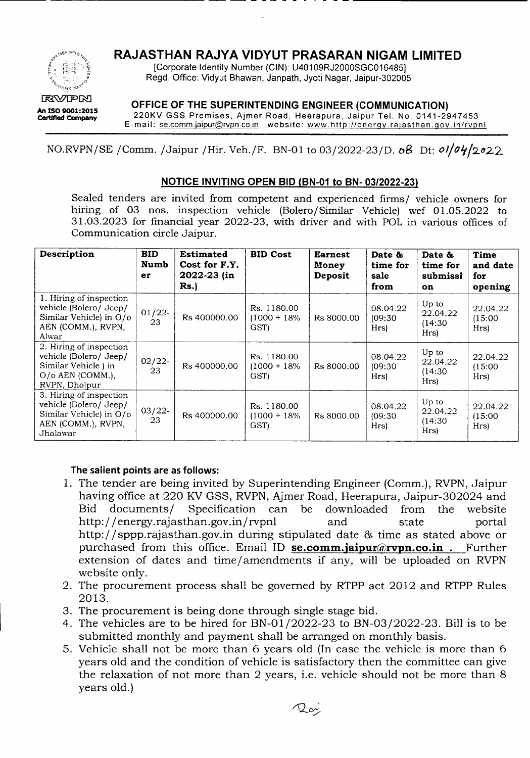

## **RAJASTHAN RAJYA VIDYUT PRASARAN NIGAM LIMITED**

[Corporate Identity Number (CIN): U40109RJ2000SGC016485j Regd. Office: Vidyut Bhawan, Janpath, Jyoti Nagar, Jaipur-302005

---- -------------- -- -- - - - - - - . - - ----------------

**OFFICE OF THE SUPERINTENDING ENGINEER (COMMUNICATION)**

220KV GSS Premises, Ajmer Road, Heerapura, Jaipur Tel. No. 0141-2947453 E-mail: se.comm.jaipur@rvpn.co.in website: www.http://energy.rajasthan.gov.in/rvpnl

NO.RVPN/SE / Comm. /Jaipur / Hir. Veh./F. BN-01 to 03/2022-23/D. oB Dt: *ol*/*04*/2022

## **NOTICE INVITING OPEN BID (BN-01 to BN-** *03/2022-23)*

Sealed tenders are invited from competent and experienced firms/ vehicle owners for hiring of 03 nos. inspection vehicle (Bolero/Similar Vehicle) wef 01.05.2022 to 31.03.2023 for financial year 2022-23, with driver and with POLin various offices of Communication circle Jaipur.

| Description                                                                                                     | <b>BID</b><br>Numb<br>er<br>$\ddot{\phantom{a}}$ | <b>Estimated</b><br>Cost for F.Y.<br>2022-23 (in<br>Rs. | <b>BID Cost</b>                        | <b>Earnest</b><br>Money<br>Deposit | Date &<br>time for<br>sale<br>from | Date &<br>time for<br>submissi<br><b>on</b> | Time<br>and date<br>for<br>opening |
|-----------------------------------------------------------------------------------------------------------------|--------------------------------------------------|---------------------------------------------------------|----------------------------------------|------------------------------------|------------------------------------|---------------------------------------------|------------------------------------|
| 1. Hiring of inspection<br>vehicle (Bolero/ Jeep/<br>Similar Vehicle) in O/o<br>AEN (COMM.), RVPN,<br>Alwar     | $01/22$ -<br>23                                  | Rs 400000.00                                            | Rs. 1180.00<br>$(1000 + 18\%)$<br>GST) | Rs 8000.00                         | 08.04.22<br>(09:30)<br>Hrs)        | Up to<br>22.04.22<br>(14:30)<br>Hrs)        | 22.04.22<br>(15:00)<br>Hrs)        |
| 2. Hiring of inspection<br>vehicle (Bolero/ Jeep/<br>Similar Vehicle) in<br>$O/O$ AEN (COMM.),<br>RVPN, Dholpur | $02/22$ -<br>23                                  | Rs 400000.00                                            | Rs. 1180.00<br>$(1000 + 18\%)$<br>GST) | Rs 8000.00                         | 08.04.22<br>(09:30)<br>Hrs)        | Up to<br>22.04.22<br>(14:30)<br>Hrs)        | 22.04.22<br>(15:00)<br>Hrs)        |
| 3. Hiring of inspection<br>vehicle (Bolero/ Jeep/<br>Similar Vehicle) in O/o<br>AEN (COMM.), RVPN,<br>Jhalawar  | $03/22$ -<br>23                                  | Rs 400000.00                                            | Rs. 1180.00<br>$(1000 + 18\%)$<br>GST) | Rs 8000.00                         | 08.04.22<br>(09:30)<br>Hrs)        | Up to<br>22.04.22<br>(14:30)<br>Hrs)        | 22.04.22<br>(15:00)<br>Hrs)        |

## **The salient points are as follows:**

- 1. The tender are being invited by Superintending Engineer (Comm.), RVPN, Jaipur having office at 220 KV GSS, RVPN, Ajmer Road, Heerapura, Jaipur-302024 and Bid documents/ Specification can be downloaded from the website http://energy.rajasthan.gov.in/rvpnl and state portal http://sppp.rajasthan.gov.in during stipulated date & time as stated above or purchased from this office. Email ID **se.comm.jaipur@rvpn.co.in .** Further extension of dates and time/amendments if any, will be uploaded on RVPN website only.
- 2. The procurement process shall be governed by RTPP act 2012 and RTPP Rules 2013.
- 3. The procurement is being done through single stage bid.
- 4. The vehicles are to be hired for BN-Ol/2022-23 to BN-03/2022-23. Bill is to be submitted monthly and payment shall be arranged on monthly basis.
- 5. Vehicle shall not be more than 6 years old (In case the vehicle is more than 6 years old and the condition of vehicle is satisfactory then the committee can give the relaxation of not more than 2 years, i.e. vehicle should not be more than 8 years old.)